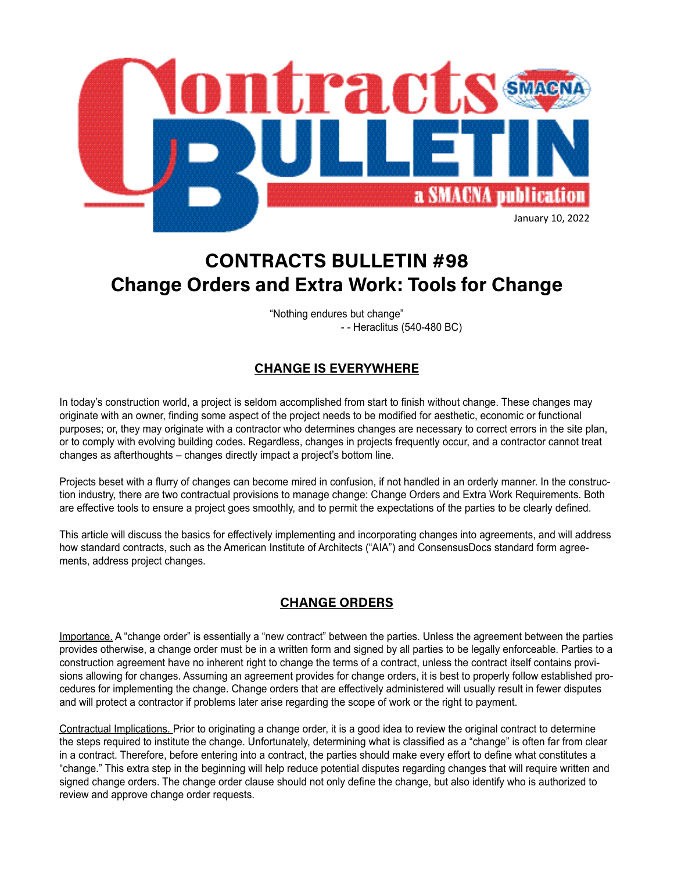

# **CONTRACTS BULLETIN #98 Change Orders and Extra Work: Tools for Change**

"Nothing endures but change" - - Heraclitus (540-480 BC)

## **CHANGE IS EVERYWHERE**

In today's construction world, a project is seldom accomplished from start to finish without change. These changes may originate with an owner, finding some aspect of the project needs to be modified for aesthetic, economic or functional purposes; or, they may originate with a contractor who determines changes are necessary to correct errors in the site plan, or to comply with evolving building codes. Regardless, changes in projects frequently occur, and a contractor cannot treat changes as afterthoughts – changes directly impact a project's bottom line.

Projects beset with a flurry of changes can become mired in confusion, if not handled in an orderly manner. In the construction industry, there are two contractual provisions to manage change: Change Orders and Extra Work Requirements. Both are effective tools to ensure a project goes smoothly, and to permit the expectations of the parties to be clearly defined.

This article will discuss the basics for effectively implementing and incorporating changes into agreements, and will address how standard contracts, such as the American Institute of Architects ("AIA") and ConsensusDocs standard form agreements, address project changes.

### **CHANGE ORDERS**

Importance. A "change order" is essentially a "new contract" between the parties. Unless the agreement between the parties provides otherwise, a change order must be in a written form and signed by all parties to be legally enforceable. Parties to a construction agreement have no inherent right to change the terms of a contract, unless the contract itself contains provisions allowing for changes. Assuming an agreement provides for change orders, it is best to properly follow established procedures for implementing the change. Change orders that are effectively administered will usually result in fewer disputes and will protect a contractor if problems later arise regarding the scope of work or the right to payment.

Contractual Implications. Prior to originating a change order, it is a good idea to review the original contract to determine the steps required to institute the change. Unfortunately, determining what is classified as a "change" is often far from clear in a contract. Therefore, before entering into a contract, the parties should make every effort to define what constitutes a "change." This extra step in the beginning will help reduce potential disputes regarding changes that will require written and signed change orders. The change order clause should not only define the change, but also identify who is authorized to review and approve change order requests.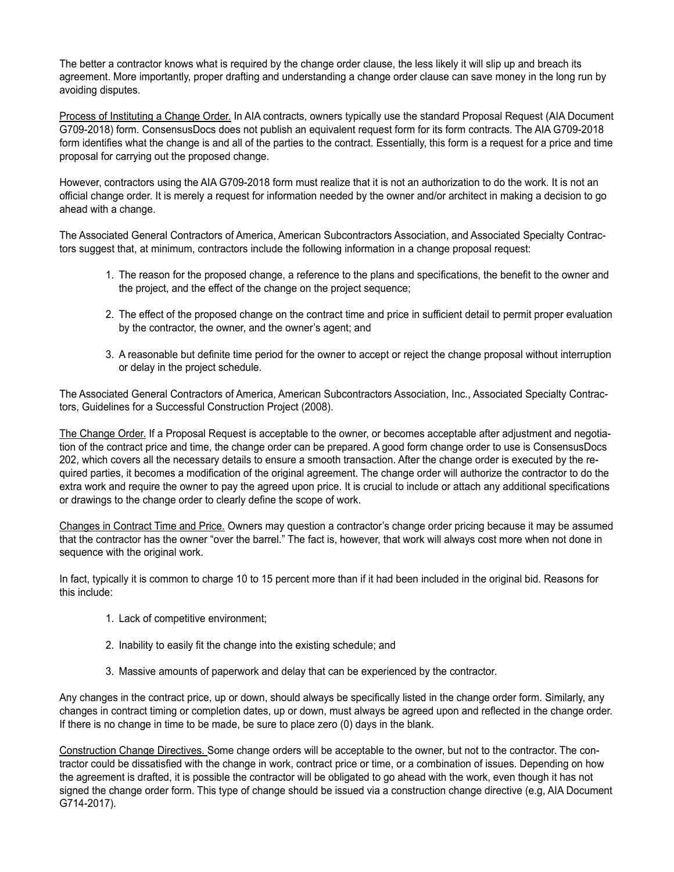The better a contractor knows what is required by the change order clause, the less likely it will slip up and breach its agreement. More importantly, proper drafting and understanding a change order clause can save money in the long run by avoiding disputes.

Process of Instituting a Change Order. In AIA contracts, owners typically use the standard Proposal Request (AIA Document G709-2018) form. ConsensusDocs does not publish an equivalent request form for its form contracts. The AIA G709-2018 form identifies what the change is and all of the parties to the contract. Essentially, this form is a request for a price and time proposal for carrying out the proposed change.

However, contractors using the AIA G709-2018 form must realize that it is not an authorization to do the work. It is not an official change order. It is merely a request for information needed by the owner and/or architect in making a decision to go ahead with a change.

The Associated General Contractors of America, American Subcontractors Association, and Associated Specialty Contractors suggest that, at minimum, contractors include the following information in a change proposal request:

- 1. The reason for the proposed change, a reference to the plans and specifications, the benefit to the owner and the project, and the effect of the change on the project sequence;
- 2. The effect of the proposed change on the contract time and price in sufficient detail to permit proper evaluation by the contractor, the owner, and the owner's agent; and
- 3. A reasonable but definite time period for the owner to accept or reject the change proposal without interruption or delay in the project schedule.

The Associated General Contractors of America, American Subcontractors Association, Inc., Associated Specialty Contractors, Guidelines for a Successful Construction Project (2008).

The Change Order. If a Proposal Request is acceptable to the owner, or becomes acceptable after adjustment and negotiation of the contract price and time, the change order can be prepared. A good form change order to use is ConsensusDocs 202, which covers all the necessary details to ensure a smooth transaction. After the change order is executed by the required parties, it becomes a modification of the original agreement. The change order will authorize the contractor to do the extra work and require the owner to pay the agreed upon price. It is crucial to include or attach any additional specifications or drawings to the change order to clearly define the scope of work.

Changes in Contract Time and Price. Owners may question a contractor's change order pricing because it may be assumed that the contractor has the owner "over the barrel." The fact is, however, that work will always cost more when not done in sequence with the original work.

In fact, typically it is common to charge 10 to 15 percent more than if it had been included in the original bid. Reasons for this include:

- 1. Lack of competitive environment;
- 2. Inability to easily fit the change into the existing schedule; and
- 3. Massive amounts of paperwork and delay that can be experienced by the contractor.

Any changes in the contract price, up or down, should always be specifically listed in the change order form. Similarly, any changes in contract timing or completion dates, up or down, must always be agreed upon and reflected in the change order. If there is no change in time to be made, be sure to place zero (0) days in the blank.

Construction Change Directives. Some change orders will be acceptable to the owner, but not to the contractor. The contractor could be dissatisfied with the change in work, contract price or time, or a combination of issues. Depending on how the agreement is drafted, it is possible the contractor will be obligated to go ahead with the work, even though it has not signed the change order form. This type of change should be issued via a construction change directive (e.g, AIA Document G714-2017).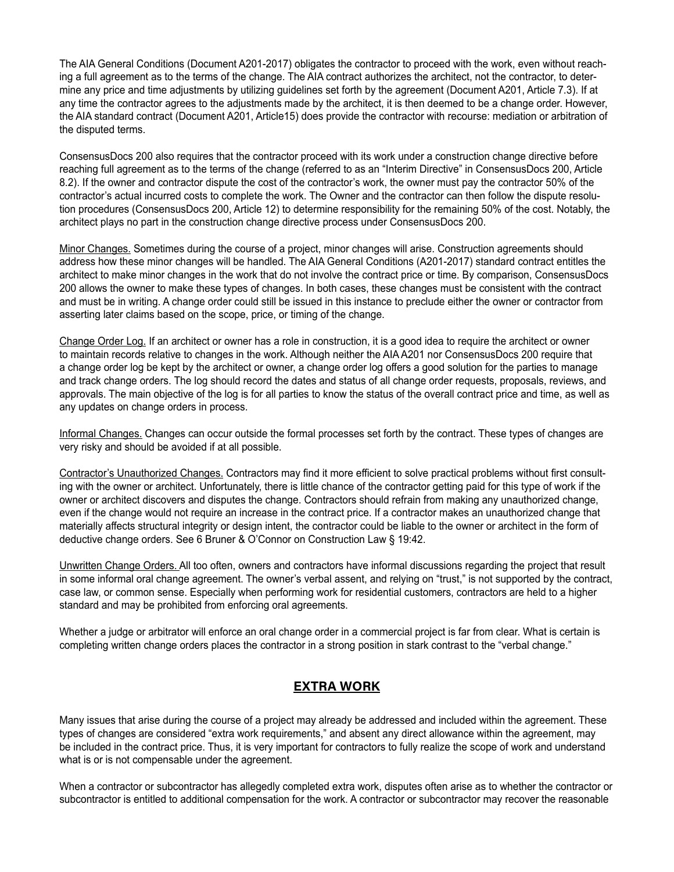The AIA General Conditions (Document A201-2017) obligates the contractor to proceed with the work, even without reaching a full agreement as to the terms of the change. The AIA contract authorizes the architect, not the contractor, to determine any price and time adjustments by utilizing guidelines set forth by the agreement (Document A201, Article 7.3). If at any time the contractor agrees to the adjustments made by the architect, it is then deemed to be a change order. However, the AIA standard contract (Document A201, Article15) does provide the contractor with recourse: mediation or arbitration of the disputed terms.

ConsensusDocs 200 also requires that the contractor proceed with its work under a construction change directive before reaching full agreement as to the terms of the change (referred to as an "Interim Directive" in ConsensusDocs 200, Article 8.2). If the owner and contractor dispute the cost of the contractor's work, the owner must pay the contractor 50% of the contractor's actual incurred costs to complete the work. The Owner and the contractor can then follow the dispute resolution procedures (ConsensusDocs 200, Article 12) to determine responsibility for the remaining 50% of the cost. Notably, the architect plays no part in the construction change directive process under ConsensusDocs 200.

Minor Changes. Sometimes during the course of a project, minor changes will arise. Construction agreements should address how these minor changes will be handled. The AIA General Conditions (A201-2017) standard contract entitles the architect to make minor changes in the work that do not involve the contract price or time. By comparison, ConsensusDocs 200 allows the owner to make these types of changes. In both cases, these changes must be consistent with the contract and must be in writing. A change order could still be issued in this instance to preclude either the owner or contractor from asserting later claims based on the scope, price, or timing of the change.

Change Order Log. If an architect or owner has a role in construction, it is a good idea to require the architect or owner to maintain records relative to changes in the work. Although neither the AIA A201 nor ConsensusDocs 200 require that a change order log be kept by the architect or owner, a change order log offers a good solution for the parties to manage and track change orders. The log should record the dates and status of all change order requests, proposals, reviews, and approvals. The main objective of the log is for all parties to know the status of the overall contract price and time, as well as any updates on change orders in process.

Informal Changes. Changes can occur outside the formal processes set forth by the contract. These types of changes are very risky and should be avoided if at all possible.

Contractor's Unauthorized Changes. Contractors may find it more efficient to solve practical problems without first consulting with the owner or architect. Unfortunately, there is little chance of the contractor getting paid for this type of work if the owner or architect discovers and disputes the change. Contractors should refrain from making any unauthorized change, even if the change would not require an increase in the contract price. If a contractor makes an unauthorized change that materially affects structural integrity or design intent, the contractor could be liable to the owner or architect in the form of deductive change orders. See 6 Bruner & O'Connor on Construction Law § 19:42.

Unwritten Change Orders. All too often, owners and contractors have informal discussions regarding the project that result in some informal oral change agreement. The owner's verbal assent, and relying on "trust," is not supported by the contract, case law, or common sense. Especially when performing work for residential customers, contractors are held to a higher standard and may be prohibited from enforcing oral agreements.

Whether a judge or arbitrator will enforce an oral change order in a commercial project is far from clear. What is certain is completing written change orders places the contractor in a strong position in stark contrast to the "verbal change."

#### **EXTRA WORK**

Many issues that arise during the course of a project may already be addressed and included within the agreement. These types of changes are considered "extra work requirements," and absent any direct allowance within the agreement, may be included in the contract price. Thus, it is very important for contractors to fully realize the scope of work and understand what is or is not compensable under the agreement.

When a contractor or subcontractor has allegedly completed extra work, disputes often arise as to whether the contractor or subcontractor is entitled to additional compensation for the work. A contractor or subcontractor may recover the reasonable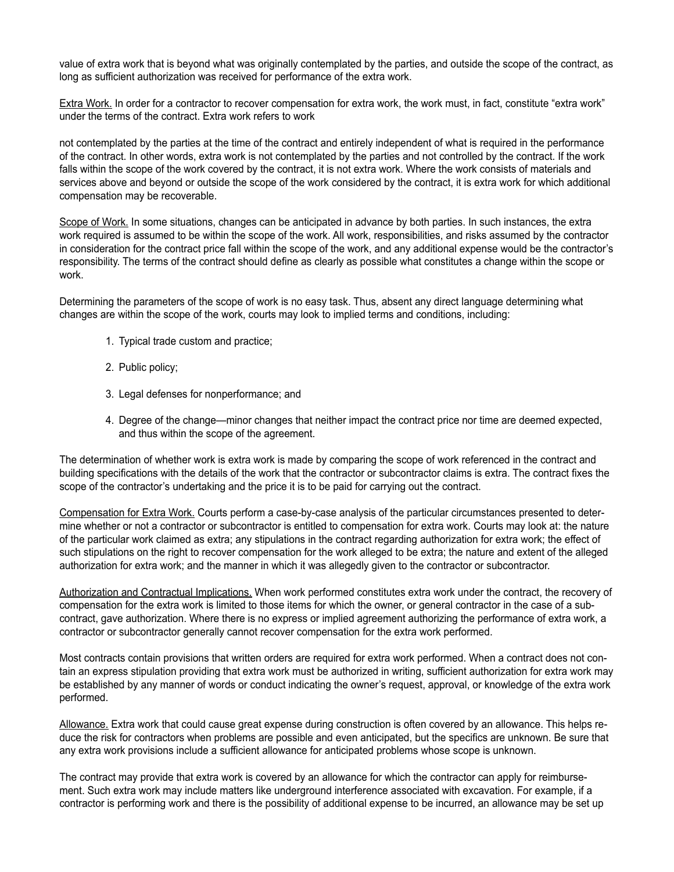value of extra work that is beyond what was originally contemplated by the parties, and outside the scope of the contract, as long as sufficient authorization was received for performance of the extra work.

Extra Work. In order for a contractor to recover compensation for extra work, the work must, in fact, constitute "extra work" under the terms of the contract. Extra work refers to work

not contemplated by the parties at the time of the contract and entirely independent of what is required in the performance of the contract. In other words, extra work is not contemplated by the parties and not controlled by the contract. If the work falls within the scope of the work covered by the contract, it is not extra work. Where the work consists of materials and services above and beyond or outside the scope of the work considered by the contract, it is extra work for which additional compensation may be recoverable.

Scope of Work. In some situations, changes can be anticipated in advance by both parties. In such instances, the extra work required is assumed to be within the scope of the work. All work, responsibilities, and risks assumed by the contractor in consideration for the contract price fall within the scope of the work, and any additional expense would be the contractor's responsibility. The terms of the contract should define as clearly as possible what constitutes a change within the scope or work.

Determining the parameters of the scope of work is no easy task. Thus, absent any direct language determining what changes are within the scope of the work, courts may look to implied terms and conditions, including:

- 1. Typical trade custom and practice;
- 2. Public policy;
- 3. Legal defenses for nonperformance; and
- 4. Degree of the change—minor changes that neither impact the contract price nor time are deemed expected, and thus within the scope of the agreement.

The determination of whether work is extra work is made by comparing the scope of work referenced in the contract and building specifications with the details of the work that the contractor or subcontractor claims is extra. The contract fixes the scope of the contractor's undertaking and the price it is to be paid for carrying out the contract.

Compensation for Extra Work. Courts perform a case-by-case analysis of the particular circumstances presented to determine whether or not a contractor or subcontractor is entitled to compensation for extra work. Courts may look at: the nature of the particular work claimed as extra; any stipulations in the contract regarding authorization for extra work; the effect of such stipulations on the right to recover compensation for the work alleged to be extra; the nature and extent of the alleged authorization for extra work; and the manner in which it was allegedly given to the contractor or subcontractor.

Authorization and Contractual Implications. When work performed constitutes extra work under the contract, the recovery of compensation for the extra work is limited to those items for which the owner, or general contractor in the case of a subcontract, gave authorization. Where there is no express or implied agreement authorizing the performance of extra work, a contractor or subcontractor generally cannot recover compensation for the extra work performed.

Most contracts contain provisions that written orders are required for extra work performed. When a contract does not contain an express stipulation providing that extra work must be authorized in writing, sufficient authorization for extra work may be established by any manner of words or conduct indicating the owner's request, approval, or knowledge of the extra work performed.

Allowance. Extra work that could cause great expense during construction is often covered by an allowance. This helps reduce the risk for contractors when problems are possible and even anticipated, but the specifics are unknown. Be sure that any extra work provisions include a sufficient allowance for anticipated problems whose scope is unknown.

The contract may provide that extra work is covered by an allowance for which the contractor can apply for reimbursement. Such extra work may include matters like underground interference associated with excavation. For example, if a contractor is performing work and there is the possibility of additional expense to be incurred, an allowance may be set up